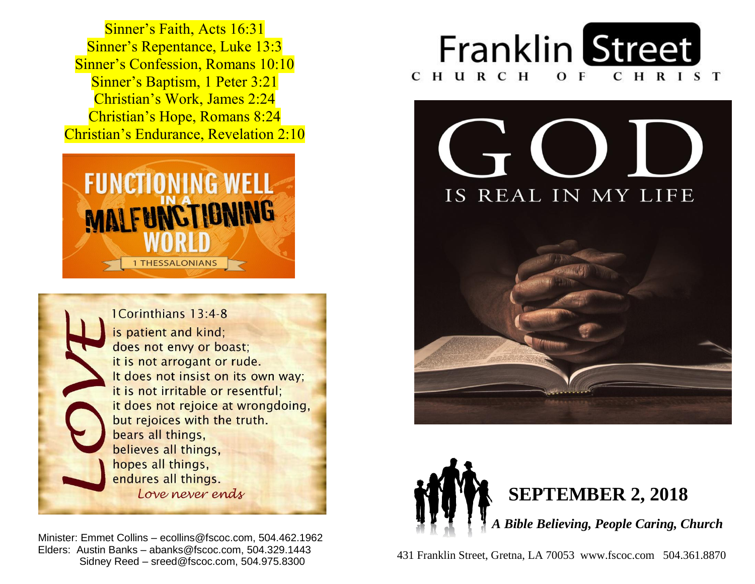**Sinner's Baptism, 1 Peter 3:21**  Christian's Work, James 2:24  Christian's Hope, Romans 8:24  Christian's Endurance, Revelation 2:10 Sinner's Faith, Acts 16:31 Sinner's Repentance, Luke 13:3 Sinner's Confession, Romans 10:10





 Minister: Emmet Collins – ecollins@fscoc.com, 504.462.1962  Elders: Austin Banks – abanks@fscoc.com, 504.329.1443 Sidney Reed – sreed@fscoc.com, 504.975.8300









 431 Franklin Street, Gretna, LA 70053 www.fscoc.com 504.361.8870